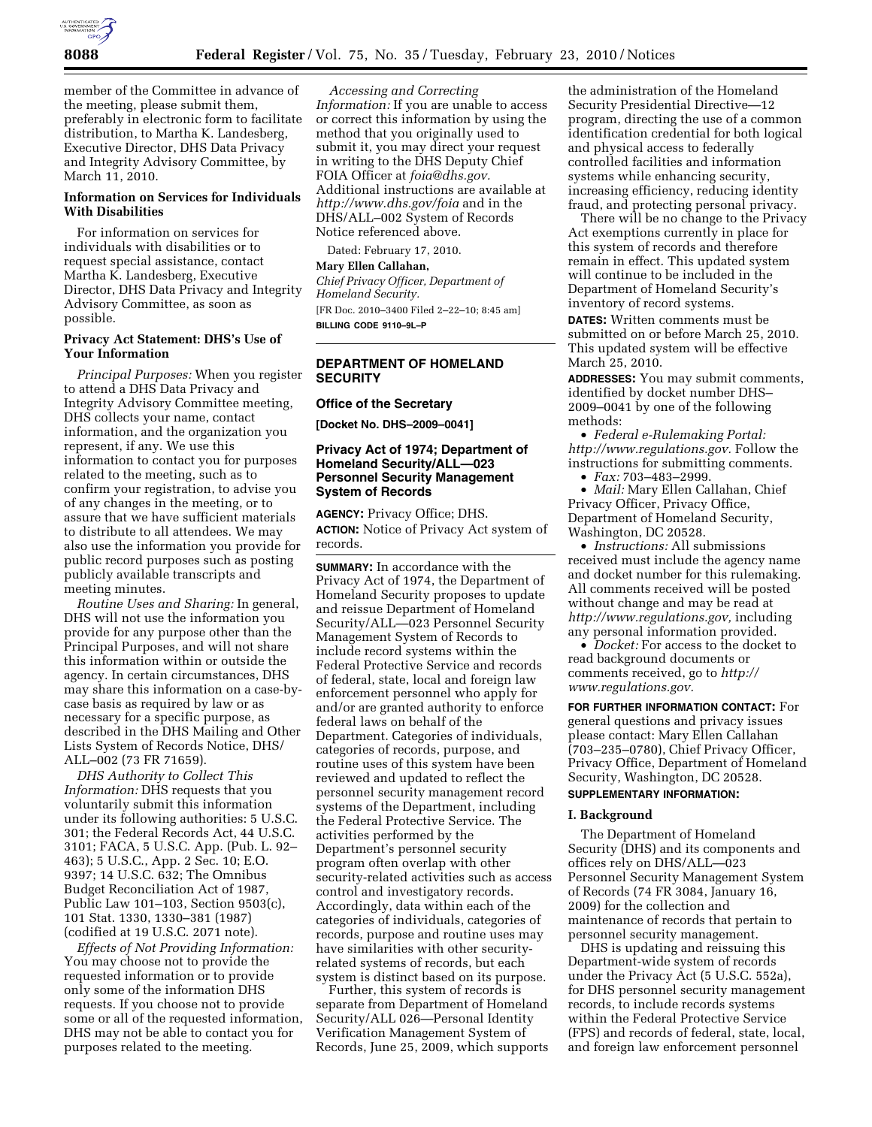

member of the Committee in advance of the meeting, please submit them, preferably in electronic form to facilitate distribution, to Martha K. Landesberg, Executive Director, DHS Data Privacy and Integrity Advisory Committee, by March 11, 2010.

## **Information on Services for Individuals With Disabilities**

For information on services for individuals with disabilities or to request special assistance, contact Martha K. Landesberg, Executive Director, DHS Data Privacy and Integrity Advisory Committee, as soon as possible.

## **Privacy Act Statement: DHS's Use of Your Information**

*Principal Purposes:* When you register to attend a DHS Data Privacy and Integrity Advisory Committee meeting, DHS collects your name, contact information, and the organization you represent, if any. We use this information to contact you for purposes related to the meeting, such as to confirm your registration, to advise you of any changes in the meeting, or to assure that we have sufficient materials to distribute to all attendees. We may also use the information you provide for public record purposes such as posting publicly available transcripts and meeting minutes.

*Routine Uses and Sharing:* In general, DHS will not use the information you provide for any purpose other than the Principal Purposes, and will not share this information within or outside the agency. In certain circumstances, DHS may share this information on a case-bycase basis as required by law or as necessary for a specific purpose, as described in the DHS Mailing and Other Lists System of Records Notice, DHS/ ALL–002 (73 FR 71659).

*DHS Authority to Collect This Information:* DHS requests that you voluntarily submit this information under its following authorities: 5 U.S.C. 301; the Federal Records Act, 44 U.S.C. 3101; FACA, 5 U.S.C. App. (Pub. L. 92– 463); 5 U.S.C., App. 2 Sec. 10; E.O. 9397; 14 U.S.C. 632; The Omnibus Budget Reconciliation Act of 1987, Public Law 101–103, Section 9503(c), 101 Stat. 1330, 1330–381 (1987) (codified at 19 U.S.C. 2071 note).

*Effects of Not Providing Information:*  You may choose not to provide the requested information or to provide only some of the information DHS requests. If you choose not to provide some or all of the requested information, DHS may not be able to contact you for purposes related to the meeting.

*Accessing and Correcting Information:* If you are unable to access or correct this information by using the method that you originally used to submit it, you may direct your request in writing to the DHS Deputy Chief FOIA Officer at *foia@dhs.gov.*  Additional instructions are available at *http://www.dhs.gov/foia* and in the DHS/ALL–002 System of Records Notice referenced above.

Dated: February 17, 2010.

## **Mary Ellen Callahan,**

*Chief Privacy Officer, Department of Homeland Security.* 

[FR Doc. 2010–3400 Filed 2–22–10; 8:45 am] **BILLING CODE 9110–9L–P** 

## **DEPARTMENT OF HOMELAND SECURITY**

### **Office of the Secretary**

**[Docket No. DHS–2009–0041]** 

## **Privacy Act of 1974; Department of Homeland Security/ALL—023 Personnel Security Management System of Records**

**AGENCY:** Privacy Office; DHS. **ACTION:** Notice of Privacy Act system of records.

**SUMMARY:** In accordance with the Privacy Act of 1974, the Department of Homeland Security proposes to update and reissue Department of Homeland Security/ALL—023 Personnel Security Management System of Records to include record systems within the Federal Protective Service and records of federal, state, local and foreign law enforcement personnel who apply for and/or are granted authority to enforce federal laws on behalf of the Department. Categories of individuals, categories of records, purpose, and routine uses of this system have been reviewed and updated to reflect the personnel security management record systems of the Department, including the Federal Protective Service. The activities performed by the Department's personnel security program often overlap with other security-related activities such as access control and investigatory records. Accordingly, data within each of the categories of individuals, categories of records, purpose and routine uses may have similarities with other securityrelated systems of records, but each system is distinct based on its purpose.

Further, this system of records is separate from Department of Homeland Security/ALL 026—Personal Identity Verification Management System of Records, June 25, 2009, which supports

the administration of the Homeland Security Presidential Directive—12 program, directing the use of a common identification credential for both logical and physical access to federally controlled facilities and information systems while enhancing security, increasing efficiency, reducing identity fraud, and protecting personal privacy.

There will be no change to the Privacy Act exemptions currently in place for this system of records and therefore remain in effect. This updated system will continue to be included in the Department of Homeland Security's inventory of record systems.

**DATES:** Written comments must be submitted on or before March 25, 2010. This updated system will be effective March 25, 2010.

**ADDRESSES:** You may submit comments, identified by docket number DHS– 2009–0041 by one of the following methods:

• *Federal e-Rulemaking Portal: http://www.regulations.gov.* Follow the instructions for submitting comments.

• *Fax:* 703–483–2999.

• *Mail:* Mary Ellen Callahan, Chief Privacy Officer, Privacy Office, Department of Homeland Security, Washington, DC 20528.

• *Instructions:* All submissions received must include the agency name and docket number for this rulemaking. All comments received will be posted without change and may be read at *http://www.regulations.gov,* including any personal information provided.

• *Docket:* For access to the docket to read background documents or comments received, go to *http:// www.regulations.gov.* 

**FOR FURTHER INFORMATION CONTACT:** For general questions and privacy issues please contact: Mary Ellen Callahan (703–235–0780), Chief Privacy Officer, Privacy Office, Department of Homeland Security, Washington, DC 20528.

# **SUPPLEMENTARY INFORMATION:**

## **I. Background**

The Department of Homeland Security (DHS) and its components and offices rely on DHS/ALL—023 Personnel Security Management System of Records (74 FR 3084, January 16, 2009) for the collection and maintenance of records that pertain to personnel security management.

DHS is updating and reissuing this Department-wide system of records under the Privacy Act (5 U.S.C. 552a), for DHS personnel security management records, to include records systems within the Federal Protective Service (FPS) and records of federal, state, local, and foreign law enforcement personnel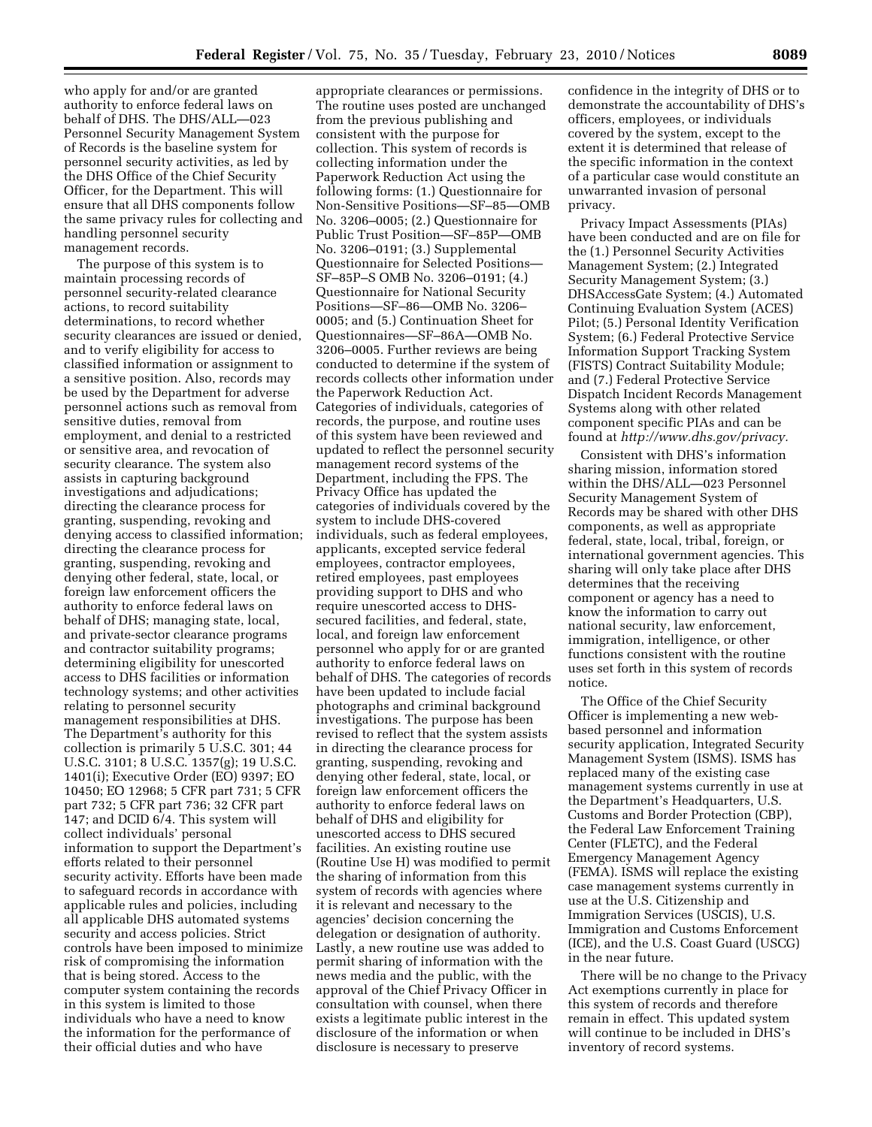who apply for and/or are granted authority to enforce federal laws on behalf of DHS. The DHS/ALL—023 Personnel Security Management System of Records is the baseline system for personnel security activities, as led by the DHS Office of the Chief Security Officer, for the Department. This will ensure that all DHS components follow the same privacy rules for collecting and handling personnel security management records.

The purpose of this system is to maintain processing records of personnel security-related clearance actions, to record suitability determinations, to record whether security clearances are issued or denied, and to verify eligibility for access to classified information or assignment to a sensitive position. Also, records may be used by the Department for adverse personnel actions such as removal from sensitive duties, removal from employment, and denial to a restricted or sensitive area, and revocation of security clearance. The system also assists in capturing background investigations and adjudications; directing the clearance process for granting, suspending, revoking and denying access to classified information; directing the clearance process for granting, suspending, revoking and denying other federal, state, local, or foreign law enforcement officers the authority to enforce federal laws on behalf of DHS; managing state, local, and private-sector clearance programs and contractor suitability programs; determining eligibility for unescorted access to DHS facilities or information technology systems; and other activities relating to personnel security management responsibilities at DHS. The Department's authority for this collection is primarily 5 U.S.C. 301; 44 U.S.C. 3101; 8 U.S.C. 1357(g); 19 U.S.C. 1401(i); Executive Order (EO) 9397; EO 10450; EO 12968; 5 CFR part 731; 5 CFR part 732; 5 CFR part 736; 32 CFR part 147; and DCID 6/4. This system will collect individuals' personal information to support the Department's efforts related to their personnel security activity. Efforts have been made to safeguard records in accordance with applicable rules and policies, including all applicable DHS automated systems security and access policies. Strict controls have been imposed to minimize risk of compromising the information that is being stored. Access to the computer system containing the records in this system is limited to those individuals who have a need to know the information for the performance of their official duties and who have

appropriate clearances or permissions. The routine uses posted are unchanged from the previous publishing and consistent with the purpose for collection. This system of records is collecting information under the Paperwork Reduction Act using the following forms: (1.) Questionnaire for Non-Sensitive Positions—SF–85—OMB No. 3206–0005; (2.) Questionnaire for Public Trust Position—SF–85P—OMB No. 3206–0191; (3.) Supplemental Questionnaire for Selected Positions— SF–85P–S OMB No. 3206–0191; (4.) Questionnaire for National Security Positions—SF–86—OMB No. 3206– 0005; and (5.) Continuation Sheet for Questionnaires—SF–86A—OMB No. 3206–0005. Further reviews are being conducted to determine if the system of records collects other information under the Paperwork Reduction Act. Categories of individuals, categories of records, the purpose, and routine uses of this system have been reviewed and updated to reflect the personnel security management record systems of the Department, including the FPS. The Privacy Office has updated the categories of individuals covered by the system to include DHS-covered individuals, such as federal employees, applicants, excepted service federal employees, contractor employees, retired employees, past employees providing support to DHS and who require unescorted access to DHSsecured facilities, and federal, state, local, and foreign law enforcement personnel who apply for or are granted authority to enforce federal laws on behalf of DHS. The categories of records have been updated to include facial photographs and criminal background investigations. The purpose has been revised to reflect that the system assists in directing the clearance process for granting, suspending, revoking and denying other federal, state, local, or foreign law enforcement officers the authority to enforce federal laws on behalf of DHS and eligibility for unescorted access to DHS secured facilities. An existing routine use (Routine Use H) was modified to permit the sharing of information from this system of records with agencies where it is relevant and necessary to the agencies' decision concerning the delegation or designation of authority. Lastly, a new routine use was added to permit sharing of information with the news media and the public, with the approval of the Chief Privacy Officer in consultation with counsel, when there exists a legitimate public interest in the disclosure of the information or when disclosure is necessary to preserve

confidence in the integrity of DHS or to demonstrate the accountability of DHS's officers, employees, or individuals covered by the system, except to the extent it is determined that release of the specific information in the context of a particular case would constitute an unwarranted invasion of personal privacy.

Privacy Impact Assessments (PIAs) have been conducted and are on file for the (1.) Personnel Security Activities Management System; (2.) Integrated Security Management System; (3.) DHSAccessGate System; (4.) Automated Continuing Evaluation System (ACES) Pilot; (5.) Personal Identity Verification System; (6.) Federal Protective Service Information Support Tracking System (FISTS) Contract Suitability Module; and (7.) Federal Protective Service Dispatch Incident Records Management Systems along with other related component specific PIAs and can be found at *http://www.dhs.gov/privacy.* 

Consistent with DHS's information sharing mission, information stored within the DHS/ALL—023 Personnel Security Management System of Records may be shared with other DHS components, as well as appropriate federal, state, local, tribal, foreign, or international government agencies. This sharing will only take place after DHS determines that the receiving component or agency has a need to know the information to carry out national security, law enforcement, immigration, intelligence, or other functions consistent with the routine uses set forth in this system of records notice.

The Office of the Chief Security Officer is implementing a new webbased personnel and information security application, Integrated Security Management System (ISMS). ISMS has replaced many of the existing case management systems currently in use at the Department's Headquarters, U.S. Customs and Border Protection (CBP), the Federal Law Enforcement Training Center (FLETC), and the Federal Emergency Management Agency (FEMA). ISMS will replace the existing case management systems currently in use at the U.S. Citizenship and Immigration Services (USCIS), U.S. Immigration and Customs Enforcement (ICE), and the U.S. Coast Guard (USCG) in the near future.

There will be no change to the Privacy Act exemptions currently in place for this system of records and therefore remain in effect. This updated system will continue to be included in DHS's inventory of record systems.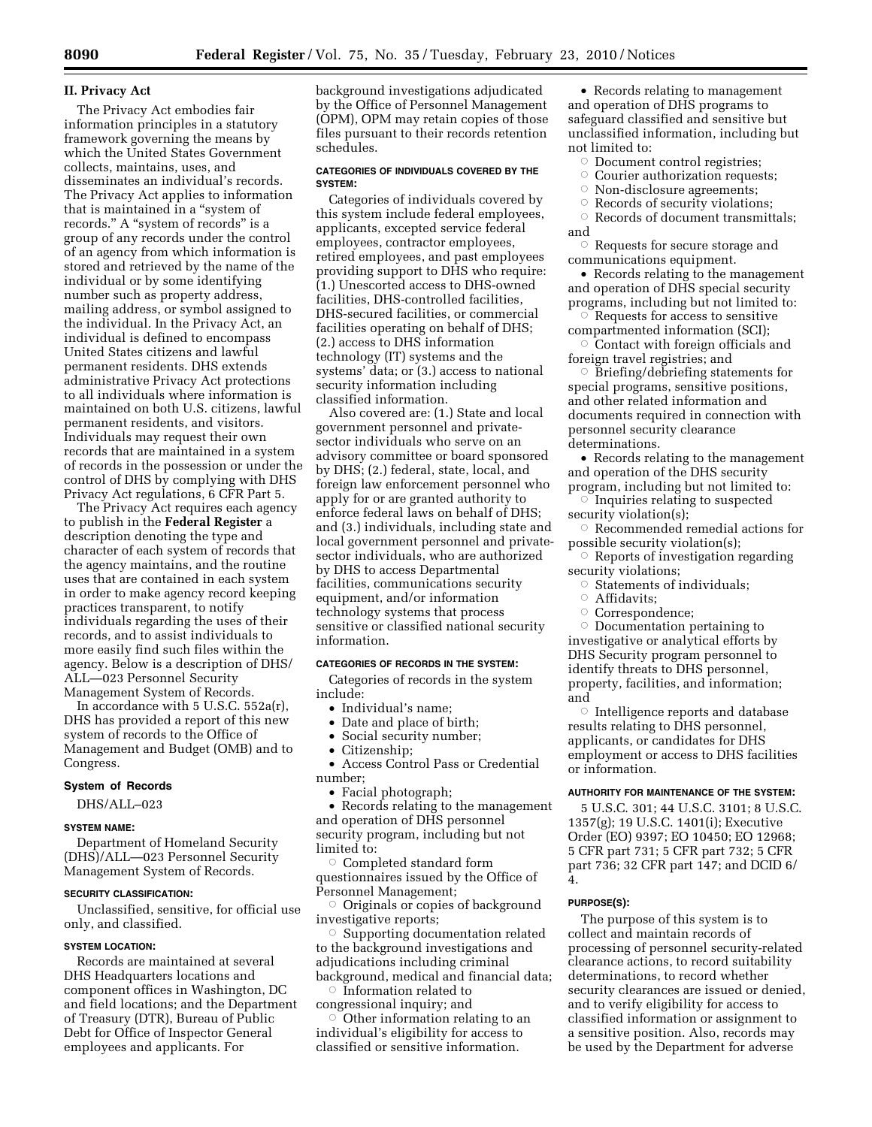## **II. Privacy Act**

The Privacy Act embodies fair information principles in a statutory framework governing the means by which the United States Government collects, maintains, uses, and disseminates an individual's records. The Privacy Act applies to information that is maintained in a "system of records." A "system of records" is a group of any records under the control of an agency from which information is stored and retrieved by the name of the individual or by some identifying number such as property address, mailing address, or symbol assigned to the individual. In the Privacy Act, an individual is defined to encompass United States citizens and lawful permanent residents. DHS extends administrative Privacy Act protections to all individuals where information is maintained on both U.S. citizens, lawful permanent residents, and visitors. Individuals may request their own records that are maintained in a system of records in the possession or under the control of DHS by complying with DHS Privacy Act regulations, 6 CFR Part 5.

The Privacy Act requires each agency to publish in the **Federal Register** a description denoting the type and character of each system of records that the agency maintains, and the routine uses that are contained in each system in order to make agency record keeping practices transparent, to notify individuals regarding the uses of their records, and to assist individuals to more easily find such files within the agency. Below is a description of DHS/ ALL—023 Personnel Security Management System of Records.

In accordance with 5 U.S.C. 552a(r), DHS has provided a report of this new system of records to the Office of Management and Budget (OMB) and to Congress.

### **System of Records**

DHS/ALL–023

## **SYSTEM NAME:**

Department of Homeland Security (DHS)/ALL—023 Personnel Security Management System of Records.

## **SECURITY CLASSIFICATION:**

Unclassified, sensitive, for official use only, and classified.

### **SYSTEM LOCATION:**

Records are maintained at several DHS Headquarters locations and component offices in Washington, DC and field locations; and the Department of Treasury (DTR), Bureau of Public Debt for Office of Inspector General employees and applicants. For

background investigations adjudicated by the Office of Personnel Management (OPM), OPM may retain copies of those files pursuant to their records retention schedules.

#### **CATEGORIES OF INDIVIDUALS COVERED BY THE SYSTEM:**

Categories of individuals covered by this system include federal employees, applicants, excepted service federal employees, contractor employees, retired employees, and past employees providing support to DHS who require: (1.) Unescorted access to DHS-owned facilities, DHS-controlled facilities, DHS-secured facilities, or commercial facilities operating on behalf of DHS; (2.) access to DHS information technology (IT) systems and the systems' data; or (3.) access to national security information including classified information.

Also covered are: (1.) State and local government personnel and privatesector individuals who serve on an advisory committee or board sponsored by DHS; (2.) federal, state, local, and foreign law enforcement personnel who apply for or are granted authority to enforce federal laws on behalf of DHS; and (3.) individuals, including state and local government personnel and privatesector individuals, who are authorized by DHS to access Departmental facilities, communications security equipment, and/or information technology systems that process sensitive or classified national security information.

### **CATEGORIES OF RECORDS IN THE SYSTEM:**

Categories of records in the system include:

- Individual's name;
- Date and place of birth;
- Social security number;
- Citizenship;
- Access Control Pass or Credential number;
	- Facial photograph;

• Records relating to the management and operation of DHS personnel security program, including but not limited to:

 $\circ$  Completed standard form questionnaires issued by the Office of Personnel Management;

 $\circ$  Originals or copies of background investigative reports;

 $\circ$  Supporting documentation related to the background investigations and adjudications including criminal background, medical and financial data;

 $\circ$  Information related to congressional inquiry; and

 $\circ$  Other information relating to an individual's eligibility for access to classified or sensitive information.

• Records relating to management and operation of DHS programs to safeguard classified and sensitive but unclassified information, including but not limited to:

- **Document control registries;**
- $\circ$  Courier authorization requests;
- $\circ$ Non-disclosure agreements;
- $\circ$ Records of security violations;
- Æ Records of document transmittals; and

Æ Requests for secure storage and communications equipment.

• Records relating to the management and operation of DHS special security programs, including but not limited to:

- $\circ$  Requests for access to sensitive compartmented information (SCI);
- $\circ$  Contact with foreign officials and foreign travel registries; and

 $\circ$  Briefing/debriefing statements for special programs, sensitive positions, and other related information and documents required in connection with personnel security clearance determinations.

• Records relating to the management and operation of the DHS security program, including but not limited to:

 $\circ$  Inquiries relating to suspected security violation(s);

 $\circ$  Recommended remedial actions for possible security violation(s);

- $\circ$  Reports of investigation regarding security violations;
	- $\circ$  Statements of individuals;
- $\circ$  Affidavits;
- Æ Correspondence;

 $\circ$  Documentation pertaining to investigative or analytical efforts by DHS Security program personnel to identify threats to DHS personnel, property, facilities, and information; and

 $\circ$  Intelligence reports and database results relating to DHS personnel, applicants, or candidates for DHS employment or access to DHS facilities or information.

## **AUTHORITY FOR MAINTENANCE OF THE SYSTEM:**

5 U.S.C. 301; 44 U.S.C. 3101; 8 U.S.C. 1357(g); 19 U.S.C. 1401(i); Executive Order (EO) 9397; EO 10450; EO 12968; 5 CFR part 731; 5 CFR part 732; 5 CFR part 736; 32 CFR part 147; and DCID 6/ 4.

#### **PURPOSE(S):**

The purpose of this system is to collect and maintain records of processing of personnel security-related clearance actions, to record suitability determinations, to record whether security clearances are issued or denied, and to verify eligibility for access to classified information or assignment to a sensitive position. Also, records may be used by the Department for adverse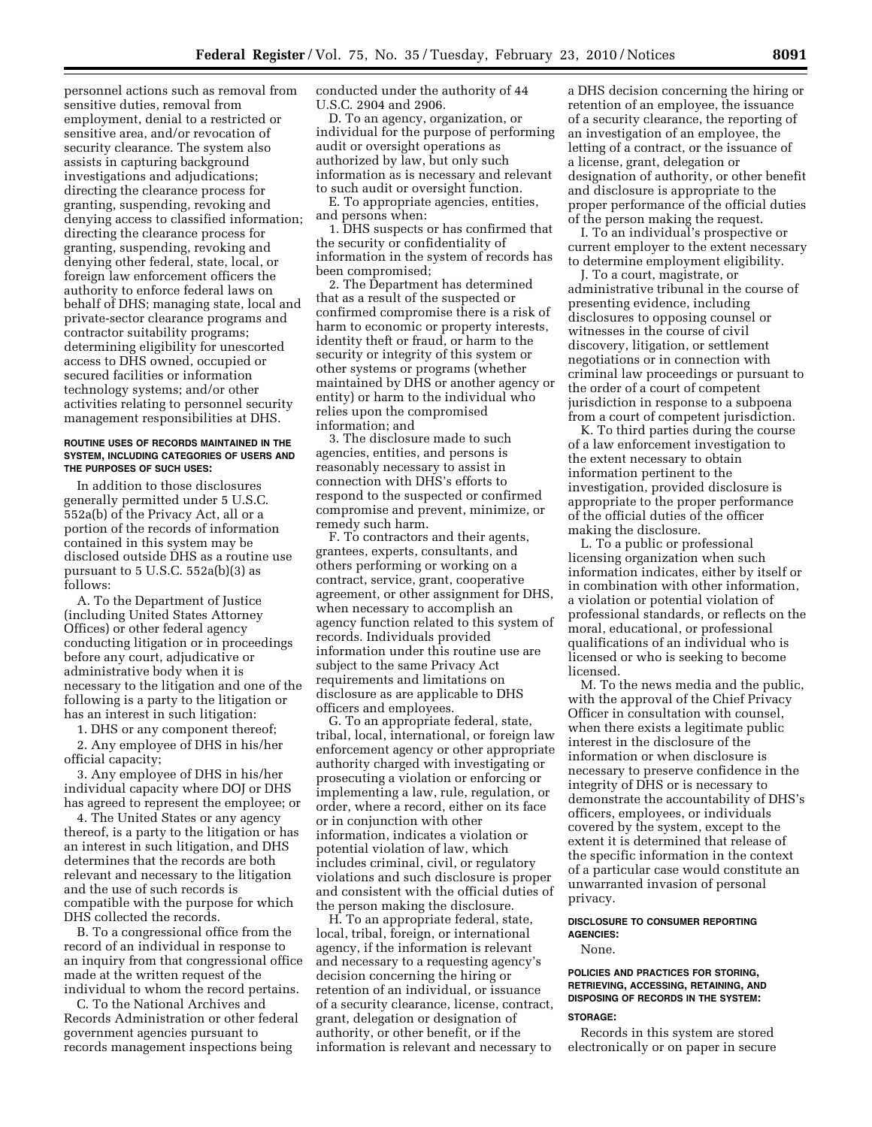personnel actions such as removal from sensitive duties, removal from employment, denial to a restricted or sensitive area, and/or revocation of security clearance. The system also assists in capturing background investigations and adjudications; directing the clearance process for granting, suspending, revoking and denying access to classified information; directing the clearance process for granting, suspending, revoking and denying other federal, state, local, or foreign law enforcement officers the authority to enforce federal laws on behalf of DHS; managing state, local and private-sector clearance programs and contractor suitability programs; determining eligibility for unescorted access to DHS owned, occupied or secured facilities or information technology systems; and/or other activities relating to personnel security management responsibilities at DHS.

#### **ROUTINE USES OF RECORDS MAINTAINED IN THE SYSTEM, INCLUDING CATEGORIES OF USERS AND THE PURPOSES OF SUCH USES:**

In addition to those disclosures generally permitted under 5 U.S.C. 552a(b) of the Privacy Act, all or a portion of the records of information contained in this system may be disclosed outside DHS as a routine use pursuant to  $5$  U.S.C.  $552a(b)(3)$  as follows:

A. To the Department of Justice (including United States Attorney Offices) or other federal agency conducting litigation or in proceedings before any court, adjudicative or administrative body when it is necessary to the litigation and one of the following is a party to the litigation or has an interest in such litigation:

1. DHS or any component thereof;

2. Any employee of DHS in his/her official capacity;

3. Any employee of DHS in his/her individual capacity where DOJ or DHS has agreed to represent the employee; or

4. The United States or any agency thereof, is a party to the litigation or has an interest in such litigation, and DHS determines that the records are both relevant and necessary to the litigation and the use of such records is compatible with the purpose for which DHS collected the records.

B. To a congressional office from the record of an individual in response to an inquiry from that congressional office made at the written request of the individual to whom the record pertains.

C. To the National Archives and Records Administration or other federal government agencies pursuant to records management inspections being

conducted under the authority of 44 U.S.C. 2904 and 2906.

D. To an agency, organization, or individual for the purpose of performing audit or oversight operations as authorized by law, but only such information as is necessary and relevant to such audit or oversight function.

E. To appropriate agencies, entities, and persons when:

1. DHS suspects or has confirmed that the security or confidentiality of information in the system of records has been compromised;

2. The Department has determined that as a result of the suspected or confirmed compromise there is a risk of harm to economic or property interests, identity theft or fraud, or harm to the security or integrity of this system or other systems or programs (whether maintained by DHS or another agency or entity) or harm to the individual who relies upon the compromised information; and

3. The disclosure made to such agencies, entities, and persons is reasonably necessary to assist in connection with DHS's efforts to respond to the suspected or confirmed compromise and prevent, minimize, or remedy such harm.

F. To contractors and their agents, grantees, experts, consultants, and others performing or working on a contract, service, grant, cooperative agreement, or other assignment for DHS, when necessary to accomplish an agency function related to this system of records. Individuals provided information under this routine use are subject to the same Privacy Act requirements and limitations on disclosure as are applicable to DHS officers and employees.

G. To an appropriate federal, state, tribal, local, international, or foreign law enforcement agency or other appropriate authority charged with investigating or prosecuting a violation or enforcing or implementing a law, rule, regulation, or order, where a record, either on its face or in conjunction with other information, indicates a violation or potential violation of law, which includes criminal, civil, or regulatory violations and such disclosure is proper and consistent with the official duties of the person making the disclosure.

H. To an appropriate federal, state, local, tribal, foreign, or international agency, if the information is relevant and necessary to a requesting agency's decision concerning the hiring or retention of an individual, or issuance of a security clearance, license, contract, grant, delegation or designation of authority, or other benefit, or if the information is relevant and necessary to

a DHS decision concerning the hiring or retention of an employee, the issuance of a security clearance, the reporting of an investigation of an employee, the letting of a contract, or the issuance of a license, grant, delegation or designation of authority, or other benefit and disclosure is appropriate to the proper performance of the official duties of the person making the request.

I. To an individual's prospective or current employer to the extent necessary to determine employment eligibility.

J. To a court, magistrate, or administrative tribunal in the course of presenting evidence, including disclosures to opposing counsel or witnesses in the course of civil discovery, litigation, or settlement negotiations or in connection with criminal law proceedings or pursuant to the order of a court of competent jurisdiction in response to a subpoena from a court of competent jurisdiction.

K. To third parties during the course of a law enforcement investigation to the extent necessary to obtain information pertinent to the investigation, provided disclosure is appropriate to the proper performance of the official duties of the officer making the disclosure.

L. To a public or professional licensing organization when such information indicates, either by itself or in combination with other information, a violation or potential violation of professional standards, or reflects on the moral, educational, or professional qualifications of an individual who is licensed or who is seeking to become licensed.

M. To the news media and the public, with the approval of the Chief Privacy Officer in consultation with counsel, when there exists a legitimate public interest in the disclosure of the information or when disclosure is necessary to preserve confidence in the integrity of DHS or is necessary to demonstrate the accountability of DHS's officers, employees, or individuals covered by the system, except to the extent it is determined that release of the specific information in the context of a particular case would constitute an unwarranted invasion of personal privacy.

## **DISCLOSURE TO CONSUMER REPORTING AGENCIES:**

None.

#### **POLICIES AND PRACTICES FOR STORING, RETRIEVING, ACCESSING, RETAINING, AND DISPOSING OF RECORDS IN THE SYSTEM:**

#### **STORAGE:**

Records in this system are stored electronically or on paper in secure